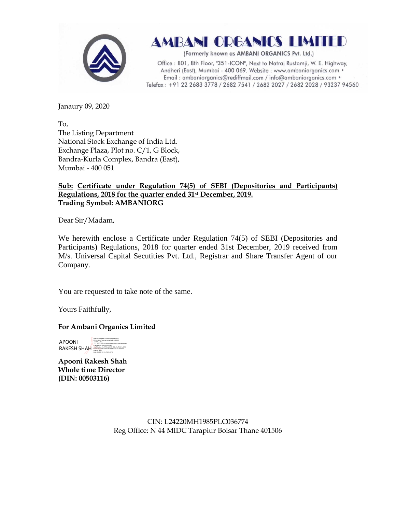

# AMBANI ORGANICS LIMITED

(Formerly known as AMBANI ORGANICS Pvt. Ltd.)

Office: 801, 8th Floor, "351-ICON", Next to Natraj Rustomji, W. E. Highway, Andheri (East), Mumbai - 400 069. Website : www.ambaniorganics.com • Email: ambaniorganics@rediffmail.com / info@ambaniorganics.com . Telefax: +91 22 2683 3778 / 2682 7541 / 2682 2027 / 2682 2028 / 93237 94560

Janaury 09, 2020

To, The Listing Department National Stock Exchange of India Ltd. Exchange Plaza, Plot no. C/1, G Block, Bandra-Kurla Complex, Bandra (East), Mumbai - 400 051

## **Sub: Certificate under Regulation 74(5) of SEBI (Depositories and Participants) Regulations, 2018 for the quarter ended 31st December, 2019. Trading Symbol: AMBANIORG**

Dear Sir/Madam,

We herewith enclose a Certificate under Regulation 74(5) of SEBI (Depositories and Participants) Regulations, 2018 for quarter ended 31st December, 2019 received from M/s. Universal Capital Secutities Pvt. Ltd., Registrar and Share Transfer Agent of our Company.

You are requested to take note of the same.

Yours Faithfully,

#### **For Ambani Organics Limited**

APOONI RAKESH SHAH HARDANIS LARANG LARANG LARANG BARA ANG ANG PARTICIPAL ANG TANGGREGATION AND REAL PROPERTY AND THE MANAGEMENT COMPLETED AND THE MANAGEMENT COMPLETED AND THE MANAGEMENT COMPLETED AND AN ALL PARTICIPAL PROPERTY AN Digitally signed by APOONI RAKESH SHAH DN: c=IN, o=Personal, postalCode=400049, st=Maharashtra, 2.5.4.20=192fc173577bad1a6ef47d066a06bf2dbe50bfd serialNumber=3c76745ed9a301bb2ccfadf5b613e2d36 b6d0936fa5a0943bd397f9e8d98ebe0, cn=APOONI Date: 2020.01.09 17:47:41 +05'30'

**Apooni Rakesh Shah Whole time Director (DIN: [00503116\)](http://www.mca.gov.in/mcafoportal/companyLLPMasterData.do)**

> CIN: L24220MH1985PLC036774 Reg Office: N 44 MIDC Tarapiur Boisar Thane 401506